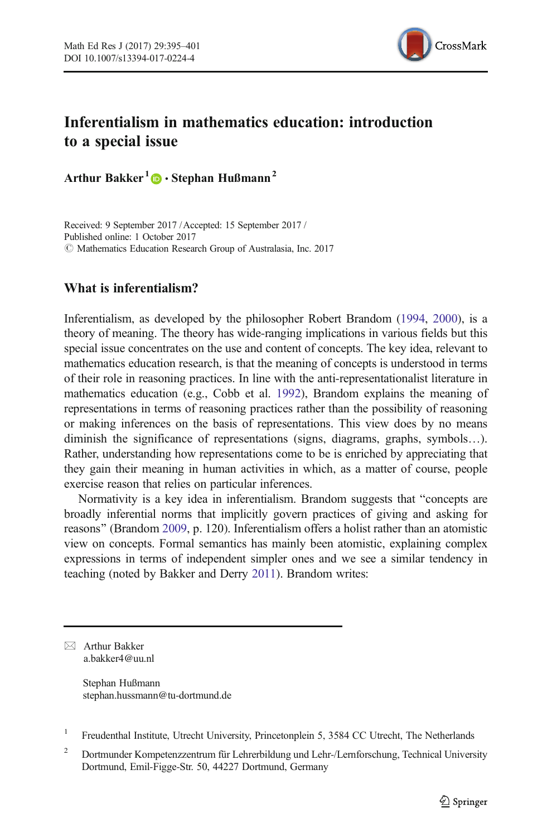

# Inferentialism in mathematics education: introduction to a special issue

Arthur Bakker<sup>1</sup>  $\bullet$  Stephan Hußmann<sup>2</sup>

Received: 9 September 2017 /Accepted: 15 September 2017 / Published online: 1 October 2017  $\odot$  Mathematics Education Research Group of Australasia, Inc. 2017

## What is inferentialism?

Inferentialism, as developed by the philosopher Robert Brandom [\(1994,](#page-6-0) [2000](#page-6-0)), is a theory of meaning. The theory has wide-ranging implications in various fields but this special issue concentrates on the use and content of concepts. The key idea, relevant to mathematics education research, is that the meaning of concepts is understood in terms of their role in reasoning practices. In line with the anti-representationalist literature in mathematics education (e.g., Cobb et al. [1992\)](#page-6-0), Brandom explains the meaning of representations in terms of reasoning practices rather than the possibility of reasoning or making inferences on the basis of representations. This view does by no means diminish the significance of representations (signs, diagrams, graphs, symbols…). Rather, understanding how representations come to be is enriched by appreciating that they gain their meaning in human activities in which, as a matter of course, people exercise reason that relies on particular inferences.

Normativity is a key idea in inferentialism. Brandom suggests that "concepts are broadly inferential norms that implicitly govern practices of giving and asking for reasons" (Brandom [2009,](#page-6-0) p. 120). Inferentialism offers a holist rather than an atomistic view on concepts. Formal semantics has mainly been atomistic, explaining complex expressions in terms of independent simpler ones and we see a similar tendency in teaching (noted by Bakker and Derry [2011\)](#page-5-0). Brandom writes:

 $\boxtimes$  Arthur Bakker [a.bakker4@uu.nl](mailto:a.bakker4@uu.nl)

> Stephan Hußmann stephan.hussmann@tu-dortmund.de

<sup>1</sup> Freudenthal Institute, Utrecht University, Princetonplein 5, 3584 CC Utrecht, The Netherlands

<sup>&</sup>lt;sup>2</sup> Dortmunder Kompetenzzentrum für Lehrerbildung und Lehr-/Lernforschung, Technical University Dortmund, Emil-Figge-Str. 50, 44227 Dortmund, Germany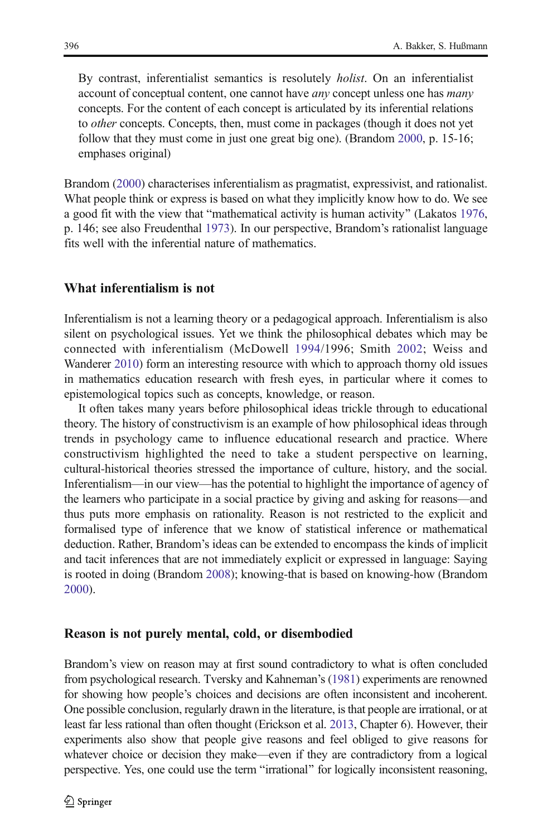By contrast, inferentialist semantics is resolutely *holist*. On an inferentialist account of conceptual content, one cannot have any concept unless one has many concepts. For the content of each concept is articulated by its inferential relations to other concepts. Concepts, then, must come in packages (though it does not yet follow that they must come in just one great big one). (Brandom [2000](#page-6-0), p. 15-16; emphases original)

Brandom ([2000](#page-6-0)) characterises inferentialism as pragmatist, expressivist, and rationalist. What people think or express is based on what they implicitly know how to do. We see a good fit with the view that "mathematical activity is human activity" (Lakatos [1976,](#page-6-0) p. 146; see also Freudenthal [1973](#page-6-0)). In our perspective, Brandom's rationalist language fits well with the inferential nature of mathematics.

## What inferentialism is not

Inferentialism is not a learning theory or a pedagogical approach. Inferentialism is also silent on psychological issues. Yet we think the philosophical debates which may be connected with inferentialism (McDowell [1994/](#page-6-0)1996; Smith [2002;](#page-6-0) Weiss and Wanderer [2010\)](#page-6-0) form an interesting resource with which to approach thorny old issues in mathematics education research with fresh eyes, in particular where it comes to epistemological topics such as concepts, knowledge, or reason.

It often takes many years before philosophical ideas trickle through to educational theory. The history of constructivism is an example of how philosophical ideas through trends in psychology came to influence educational research and practice. Where constructivism highlighted the need to take a student perspective on learning, cultural-historical theories stressed the importance of culture, history, and the social. Inferentialism—in our view—has the potential to highlight the importance of agency of the learners who participate in a social practice by giving and asking for reasons—and thus puts more emphasis on rationality. Reason is not restricted to the explicit and formalised type of inference that we know of statistical inference or mathematical deduction. Rather, Brandom's ideas can be extended to encompass the kinds of implicit and tacit inferences that are not immediately explicit or expressed in language: Saying is rooted in doing (Brandom [2008\)](#page-6-0); knowing-that is based on knowing-how (Brandom [2000\)](#page-6-0).

## Reason is not purely mental, cold, or disembodied

Brandom's view on reason may at first sound contradictory to what is often concluded from psychological research. Tversky and Kahneman's [\(1981](#page-6-0)) experiments are renowned for showing how people's choices and decisions are often inconsistent and incoherent. One possible conclusion, regularly drawn in the literature, is that people are irrational, or at least far less rational than often thought (Erickson et al. [2013,](#page-6-0) Chapter 6). However, their experiments also show that people give reasons and feel obliged to give reasons for whatever choice or decision they make—even if they are contradictory from a logical perspective. Yes, one could use the term "irrational" for logically inconsistent reasoning,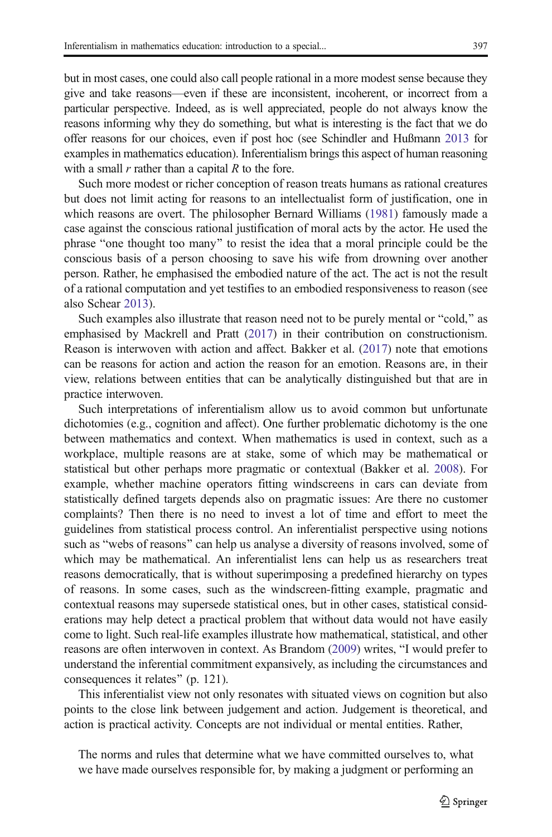but in most cases, one could also call people rational in a more modest sense because they give and take reasons—even if these are inconsistent, incoherent, or incorrect from a particular perspective. Indeed, as is well appreciated, people do not always know the reasons informing why they do something, but what is interesting is the fact that we do offer reasons for our choices, even if post hoc (see Schindler and Hußmann [2013](#page-6-0) for examples in mathematics education). Inferentialism brings this aspect of human reasoning with a small  $r$  rather than a capital  $R$  to the fore.

Such more modest or richer conception of reason treats humans as rational creatures but does not limit acting for reasons to an intellectualist form of justification, one in which reasons are overt. The philosopher Bernard Williams [\(1981\)](#page-6-0) famously made a case against the conscious rational justification of moral acts by the actor. He used the phrase "one thought too many" to resist the idea that a moral principle could be the conscious basis of a person choosing to save his wife from drowning over another person. Rather, he emphasised the embodied nature of the act. The act is not the result of a rational computation and yet testifies to an embodied responsiveness to reason (see also Schear [2013](#page-6-0)).

Such examples also illustrate that reason need not to be purely mental or "cold," as emphasised by Mackrell and Pratt ([2017](#page-6-0)) in their contribution on constructionism. Reason is interwoven with action and affect. Bakker et al. [\(2017\)](#page-5-0) note that emotions can be reasons for action and action the reason for an emotion. Reasons are, in their view, relations between entities that can be analytically distinguished but that are in practice interwoven.

Such interpretations of inferentialism allow us to avoid common but unfortunate dichotomies (e.g., cognition and affect). One further problematic dichotomy is the one between mathematics and context. When mathematics is used in context, such as a workplace, multiple reasons are at stake, some of which may be mathematical or statistical but other perhaps more pragmatic or contextual (Bakker et al. [2008](#page-6-0)). For example, whether machine operators fitting windscreens in cars can deviate from statistically defined targets depends also on pragmatic issues: Are there no customer complaints? Then there is no need to invest a lot of time and effort to meet the guidelines from statistical process control. An inferentialist perspective using notions such as "webs of reasons" can help us analyse a diversity of reasons involved, some of which may be mathematical. An inferentialist lens can help us as researchers treat reasons democratically, that is without superimposing a predefined hierarchy on types of reasons. In some cases, such as the windscreen-fitting example, pragmatic and contextual reasons may supersede statistical ones, but in other cases, statistical considerations may help detect a practical problem that without data would not have easily come to light. Such real-life examples illustrate how mathematical, statistical, and other reasons are often interwoven in context. As Brandom [\(2009\)](#page-6-0) writes, "I would prefer to understand the inferential commitment expansively, as including the circumstances and consequences it relates" (p. 121).

This inferentialist view not only resonates with situated views on cognition but also points to the close link between judgement and action. Judgement is theoretical, and action is practical activity. Concepts are not individual or mental entities. Rather,

The norms and rules that determine what we have committed ourselves to, what we have made ourselves responsible for, by making a judgment or performing an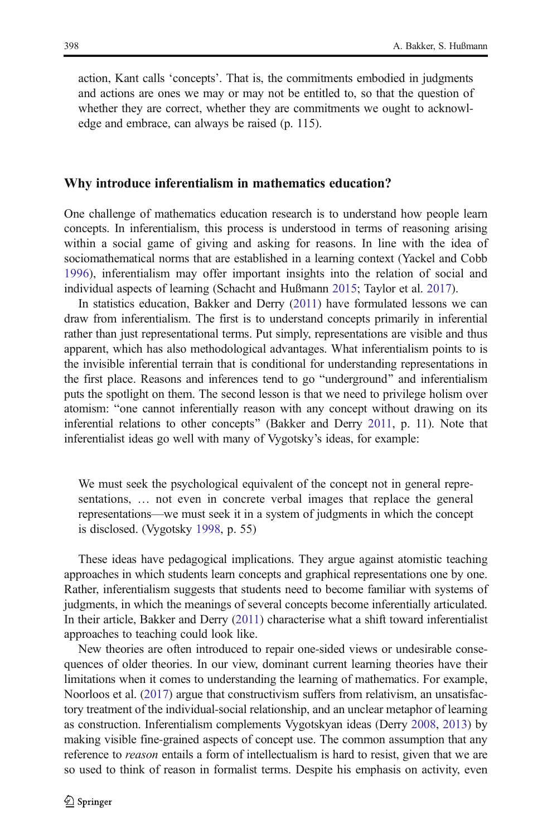action, Kant calls 'concepts'. That is, the commitments embodied in judgments and actions are ones we may or may not be entitled to, so that the question of whether they are correct, whether they are commitments we ought to acknowledge and embrace, can always be raised (p. 115).

#### Why introduce inferentialism in mathematics education?

One challenge of mathematics education research is to understand how people learn concepts. In inferentialism, this process is understood in terms of reasoning arising within a social game of giving and asking for reasons. In line with the idea of sociomathematical norms that are established in a learning context (Yackel and Cobb [1996\)](#page-6-0), inferentialism may offer important insights into the relation of social and individual aspects of learning (Schacht and Hußmann [2015](#page-6-0); Taylor et al. [2017\)](#page-6-0).

In statistics education, Bakker and Derry ([2011\)](#page-5-0) have formulated lessons we can draw from inferentialism. The first is to understand concepts primarily in inferential rather than just representational terms. Put simply, representations are visible and thus apparent, which has also methodological advantages. What inferentialism points to is the invisible inferential terrain that is conditional for understanding representations in the first place. Reasons and inferences tend to go "underground" and inferentialism puts the spotlight on them. The second lesson is that we need to privilege holism over atomism: "one cannot inferentially reason with any concept without drawing on its inferential relations to other concepts" (Bakker and Derry [2011](#page-5-0), p. 11). Note that inferentialist ideas go well with many of Vygotsky's ideas, for example:

We must seek the psychological equivalent of the concept not in general representations, … not even in concrete verbal images that replace the general representations—we must seek it in a system of judgments in which the concept is disclosed. (Vygotsky [1998,](#page-6-0) p. 55)

These ideas have pedagogical implications. They argue against atomistic teaching approaches in which students learn concepts and graphical representations one by one. Rather, inferentialism suggests that students need to become familiar with systems of judgments, in which the meanings of several concepts become inferentially articulated. In their article, Bakker and Derry ([2011\)](#page-5-0) characterise what a shift toward inferentialist approaches to teaching could look like.

New theories are often introduced to repair one-sided views or undesirable consequences of older theories. In our view, dominant current learning theories have their limitations when it comes to understanding the learning of mathematics. For example, Noorloos et al. ([2017](#page-6-0)) argue that constructivism suffers from relativism, an unsatisfactory treatment of the individual-social relationship, and an unclear metaphor of learning as construction. Inferentialism complements Vygotskyan ideas (Derry [2008](#page-6-0), [2013](#page-6-0)) by making visible fine-grained aspects of concept use. The common assumption that any reference to *reason* entails a form of intellectualism is hard to resist, given that we are so used to think of reason in formalist terms. Despite his emphasis on activity, even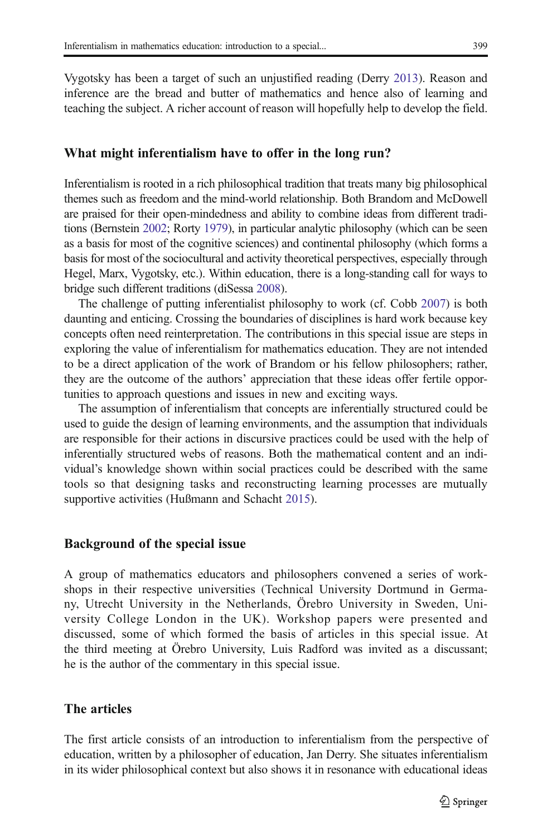Vygotsky has been a target of such an unjustified reading (Derry [2013](#page-6-0)). Reason and inference are the bread and butter of mathematics and hence also of learning and teaching the subject. A richer account of reason will hopefully help to develop the field.

## What might inferentialism have to offer in the long run?

Inferentialism is rooted in a rich philosophical tradition that treats many big philosophical themes such as freedom and the mind-world relationship. Both Brandom and McDowell are praised for their open-mindedness and ability to combine ideas from different traditions (Bernstein [2002;](#page-6-0) Rorty [1979](#page-6-0)), in particular analytic philosophy (which can be seen as a basis for most of the cognitive sciences) and continental philosophy (which forms a basis for most of the sociocultural and activity theoretical perspectives, especially through Hegel, Marx, Vygotsky, etc.). Within education, there is a long-standing call for ways to bridge such different traditions (diSessa [2008](#page-6-0)).

The challenge of putting inferentialist philosophy to work (cf. Cobb [2007\)](#page-6-0) is both daunting and enticing. Crossing the boundaries of disciplines is hard work because key concepts often need reinterpretation. The contributions in this special issue are steps in exploring the value of inferentialism for mathematics education. They are not intended to be a direct application of the work of Brandom or his fellow philosophers; rather, they are the outcome of the authors' appreciation that these ideas offer fertile opportunities to approach questions and issues in new and exciting ways.

The assumption of inferentialism that concepts are inferentially structured could be used to guide the design of learning environments, and the assumption that individuals are responsible for their actions in discursive practices could be used with the help of inferentially structured webs of reasons. Both the mathematical content and an individual's knowledge shown within social practices could be described with the same tools so that designing tasks and reconstructing learning processes are mutually supportive activities (Hußmann and Schacht [2015](#page-6-0)).

#### Background of the special issue

A group of mathematics educators and philosophers convened a series of workshops in their respective universities (Technical University Dortmund in Germany, Utrecht University in the Netherlands, Örebro University in Sweden, University College London in the UK). Workshop papers were presented and discussed, some of which formed the basis of articles in this special issue. At the third meeting at Örebro University, Luis Radford was invited as a discussant; he is the author of the commentary in this special issue.

## The articles

The first article consists of an introduction to inferentialism from the perspective of education, written by a philosopher of education, Jan Derry. She situates inferentialism in its wider philosophical context but also shows it in resonance with educational ideas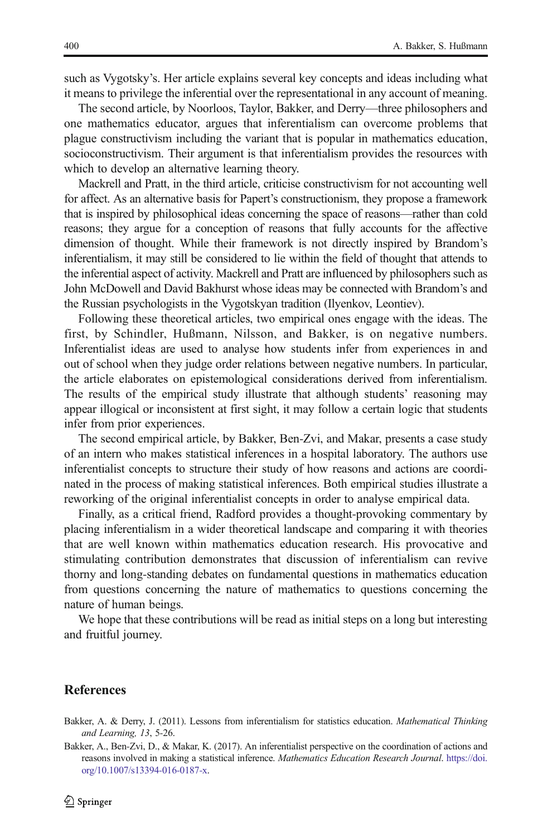<span id="page-5-0"></span>such as Vygotsky's. Her article explains several key concepts and ideas including what it means to privilege the inferential over the representational in any account of meaning.

The second article, by Noorloos, Taylor, Bakker, and Derry—three philosophers and one mathematics educator, argues that inferentialism can overcome problems that plague constructivism including the variant that is popular in mathematics education, socioconstructivism. Their argument is that inferentialism provides the resources with which to develop an alternative learning theory.

Mackrell and Pratt, in the third article, criticise constructivism for not accounting well for affect. As an alternative basis for Papert's constructionism, they propose a framework that is inspired by philosophical ideas concerning the space of reasons—rather than cold reasons; they argue for a conception of reasons that fully accounts for the affective dimension of thought. While their framework is not directly inspired by Brandom's inferentialism, it may still be considered to lie within the field of thought that attends to the inferential aspect of activity. Mackrell and Pratt are influenced by philosophers such as John McDowell and David Bakhurst whose ideas may be connected with Brandom's and the Russian psychologists in the Vygotskyan tradition (Ilyenkov, Leontiev).

Following these theoretical articles, two empirical ones engage with the ideas. The first, by Schindler, Hußmann, Nilsson, and Bakker, is on negative numbers. Inferentialist ideas are used to analyse how students infer from experiences in and out of school when they judge order relations between negative numbers. In particular, the article elaborates on epistemological considerations derived from inferentialism. The results of the empirical study illustrate that although students' reasoning may appear illogical or inconsistent at first sight, it may follow a certain logic that students infer from prior experiences.

The second empirical article, by Bakker, Ben-Zvi, and Makar, presents a case study of an intern who makes statistical inferences in a hospital laboratory. The authors use inferentialist concepts to structure their study of how reasons and actions are coordinated in the process of making statistical inferences. Both empirical studies illustrate a reworking of the original inferentialist concepts in order to analyse empirical data.

Finally, as a critical friend, Radford provides a thought-provoking commentary by placing inferentialism in a wider theoretical landscape and comparing it with theories that are well known within mathematics education research. His provocative and stimulating contribution demonstrates that discussion of inferentialism can revive thorny and long-standing debates on fundamental questions in mathematics education from questions concerning the nature of mathematics to questions concerning the nature of human beings.

We hope that these contributions will be read as initial steps on a long but interesting and fruitful journey.

## **References**

Bakker, A. & Derry, J. (2011). Lessons from inferentialism for statistics education. *Mathematical Thinking* and Learning, 13, 5-26.

Bakker, A., Ben-Zvi, D., & Makar, K. (2017). An inferentialist perspective on the coordination of actions and reasons involved in making a statistical inference. Mathematics Education Research Journal. [https://doi.](https://doi.org/10.1007/s13394-016-0187-x) [org/10.1007/s13394-016-0187-x](https://doi.org/10.1007/s13394-016-0187-x).